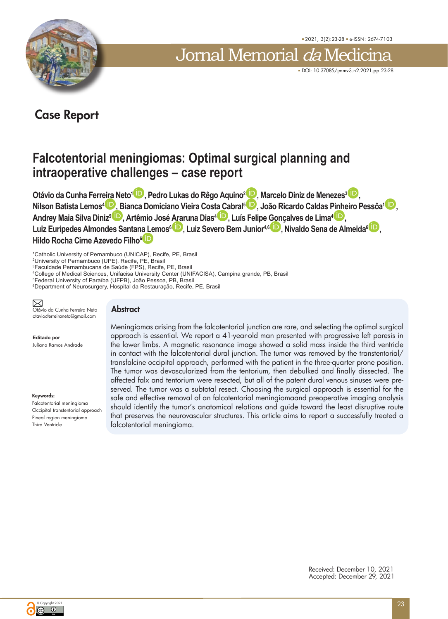

Jornal Memorial da

DOI: 10.37085/jmmv3.n2.2021.pp.23-28

### Case Report

# **Falcotentorial meningiomas: Optimal surgical planning and intraoperative challenges – case report**

**Otávio da Cunha Ferr[eira N](https://orcid.org/0000-0002-2331-6871)eto1 [,](https://orcid.org/0000-0003-0517-0212 ) Pedro Lukas do Rêgo Aquino[2](https://orcid.org/0000-0002-1244-8641) , Marcelo Diniz de Menezes3 [,]( https://orcid.org/) Nilson Batista Lemos4 [, Bi](https://orcid.org/0000-0002-5572-7018)anca Domiciano Vieira Cos[ta Ca](https://orcid.org/0000-0002-3565-0586)bral[5](https://orcid.org/0000-0001-7725-0524) , João Ricardo Caldas [Pinhe](https://orcid.org/0000-0002-0130-0625)iro Pessôa[1](https://orcid.org/0000-0002-0612-6478) , Andrey Maia Silva Diniz5 , Artêmio José [Arar](https://orcid.org/0000-0001-5334-004X)una Dias4 , Luís Felipe [Gonç](https://orcid.org/0000-0002-0835-5995)alves de Lima4 , Luiz Euripedes Almondes Santa[na Lem](https://orcid.org/0000-0002-1555-3578)os6 , Luiz Severo Bem Junior4,6 , Nivaldo Sena de Almeida[6]( https://orcid.org/) , Hildo Rocha Cirne Azevedo Filho6**

1 Catholic University of Pernambuco (UNICAP), Recife, PE, Brasil

2 University of Pernambuco (UPE), Recife, PE, Brasil

3 Faculdade Pernambucana de Saúde (FPS), Recife, PE, Brasil

4 College of Medical Sciences, Unifacisa University Center (UNIFACISA), Campina grande, PB, Brasil

5 Federal University of Paraíba (UFPB), João Pessoa, PB, Brasil 6 Department of Neurosurgery, Hospital da Restauração, Recife, PE, Brasil

 $\boxtimes$ Otávio da Cunha Ferreira Neto otaviocferreiraneto@gmail.com

Abstract

**Editado por** Juliana Ramos Andrade

Keywords:

Falcotentorial meningioma Occipital transtentorial approach Pineal region meningioma Third Ventricle

Meningiomas arising from the falcotentorial junction are rare, and selecting the optimal surgical approach is essential. We report a 41-year-old man presented with progressive left paresis in the lower limbs. A magnetic resonance image showed a solid mass inside the third ventricle in contact with the falcotentorial dural junction. The tumor was removed by the transtentorial/ transfalcine occipital approach, performed with the patient in the three-quarter prone position. The tumor was devascularized from the tentorium, then debulked and finally dissected. The affected falx and tentorium were resected, but all of the patent dural venous sinuses were preserved. The tumor was a subtotal resect. Choosing the surgical approach is essential for the safe and effective removal of an falcotentorial meningiomaand preoperative imaging analysis should identify the tumor's anatomical relations and guide toward the least disruptive route that preserves the neurovascular structures. This article aims to report a successfully treated a falcotentorial meningioma.

> Received: December 10, 2021 Accepted: December 29, 2021

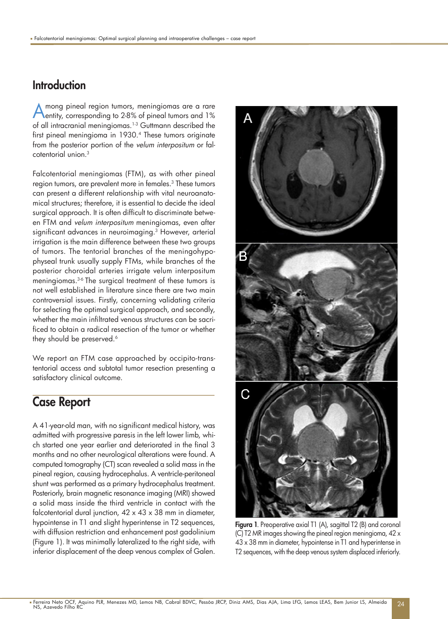### Introduction

A mong pineal region tumors, meningiomas are a rare<br>entity, corresponding to 2-8% of pineal tumors and 1% of all intracranial meningiomas.[1](#page-4-0)[-3](#page-4-1) Guttmann described the first pineal meningioma in 1930.<sup>[4](#page-4-2)</sup> These tumors originate from the posterior portion of the velum interpositum or falcotentorial union.<sup>3</sup>

Falcotentorial meningiomas (FTM), as with other pineal region tumors, are prevalent more in females.<sup>3</sup> These tumors can present a different relationship with vital neuroanatomical structures; therefore, it is essential to decide the ideal surgical approach. It is often difficult to discriminate between FTM and velum interpositum meningiomas, even after significant advances in neuroimaging.<sup>3</sup> However, arterial irrigation is the main difference between these two groups of tumors. The tentorial branches of the meningohypophyseal trunk usually supply FTMs, while branches of the posterior choroidal arteries irrigate velum interpositum meningiomas[.3-](#page-4-1)[6](#page-4-3) The surgical treatment of these tumors is not well established in literature since there are two main controversial issues. Firstly, concerning validating criteria for selecting the optimal surgical approach, and secondly, whether the main infiltrated venous structures can be sacrificed to obtain a radical resection of the tumor or whether they should be preserved.<sup>6</sup>

We report an FTM case approached by occipito-transtentorial access and subtotal tumor resection presenting a satisfactory clinical outcome.

## Case Report

A 41-year-old man, with no significant medical history, was admitted with progressive paresis in the left lower limb, which started one year earlier and deteriorated in the final 3 months and no other neurological alterations were found. A computed tomography (CT) scan revealed a solid mass in the pineal region, causing hydrocephalus. A ventricle-peritoneal shunt was performed as a primary hydrocephalus treatment. Posteriorly, brain magnetic resonance imaging (MRI) showed a solid mass inside the third ventricle in contact with the falcotentorial dural junction, 42 x 43 x 38 mm in diameter, hypointense in T1 and slight hyperintense in T2 sequences, with diffusion restriction and enhancement post gadolinium (Figure 1). It was minimally lateralized to the right side, with inferior displacement of the deep venous complex of Galen.



Figura 1. Preoperative axial T1 (A), sagittal T2 (B) and coronal (C) T2 MR images showing the pineal region meningioma, 42 x 43 x 38 mm in diameter, hypointense in T1 and hyperintense in T2 sequences, with the deep venous system displaced inferiorly.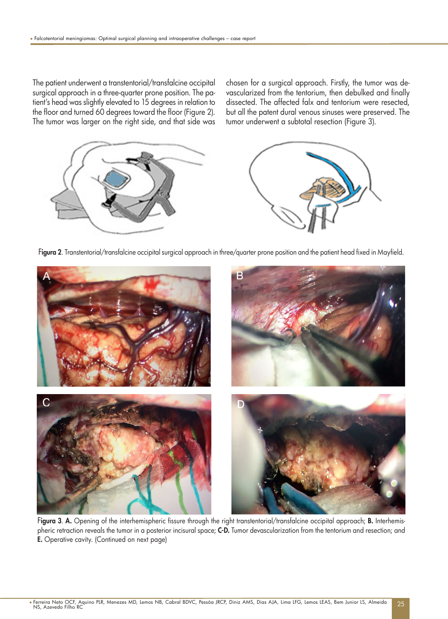The patient underwent a transtentorial/transfalcine occipital surgical approach in a three-quarter prone position. The patient's head was slightly elevated to 15 degrees in relation to the floor and turned 60 degrees toward the floor (Figure 2). The tumor was larger on the right side, and that side was chosen for a surgical approach. Firstly, the tumor was devascularized from the tentorium, then debulked and finally dissected. The affected falx and tentorium were resected, but all the patent dural venous sinuses were preserved. The tumor underwent a subtotal resection (Figure 3).



Figura 2. Transtentorial/transfalcine occipital surgical approach in three/quarter prone position and the patient head fixed in Mayfield.



Figura 3. A. Opening of the interhemispheric fissure through the right transtentorial/transfalcine occipital approach; B. Interhemispheric retraction reveals the tumor in a posterior incisural space; C-D. Tumor devascularization from the tentorium and resection; and E. Operative cavity. (Continued on next page)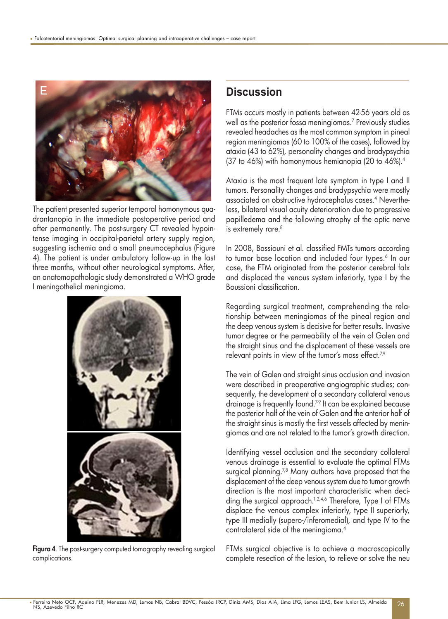

The patient presented superior temporal homonymous quadrantanopia in the immediate postoperative period and after permanently. The post-surgery CT revealed hypointense imaging in occipital-parietal artery supply region, suggesting ischemia and a small pneumocephalus (Figure 4). The patient is under ambulatory follow-up in the last three months, without other neurological symptoms. After, an anatomopathologic study demonstrated a WHO grade I meningothelial meningioma.



**Figura 4.** The post-surgery computed tomography revealing surgical complications.

## **Discussion**

FTMs occurs mostly in patients between 42-56 years old as well as the posterior fossa meningiomas[.7](#page-4-4) Previously studies revealed headaches as the most common symptom in pineal region meningiomas (60 to 100% of the cases), followed by ataxia (43 to 62%), personality changes and bradypsychia (37 to 46%) with homonymous hemianopia (20 to 46%)[.4](#page-4-2)

Ataxia is the most frequent late symptom in type I and II tumors. Personality changes and bradypsychia were mostly associated on obstructive hydrocephalus cases[.4](#page-4-2) Nevertheless, bilateral visual acuity deterioration due to progressive papilledema and the following atrophy of the optic nerve is extremely rare.<sup>8</sup>

In 2008, Bassiouni et al. classified FMTs tumors according to tumor base location and included four types.<sup>6</sup> In our case, the FTM originated from the posterior cerebral falx and displaced the venous system inferiorly, type I by the Boussioni classification.

Regarding surgical treatment, comprehending the relationship between meningiomas of the pineal region and the deep venous system is decisive for better results. Invasive tumor degree or the permeability of the vein of Galen and the straight sinus and the displacement of these vessels are relevant points in view of the tumor's mass effect.<sup>7,[9](#page-5-1)</sup>

The vein of Galen and straight sinus occlusion and invasion were described in preoperative angiographic studies; consequently, the development of a secondary collateral venous drainage is frequently found.<sup>7[9](#page-5-1)</sup> It can be explained because the posterior half of the vein of Galen and the anterior half of the straight sinus is mostly the first vessels affected by meningiomas and are not related to the tumor's growth direction.

Identifying vessel occlusion and the secondary collateral venous drainage is essential to evaluate the optimal FTMs surgical planning.<sup>7,8</sup> Many authors have proposed that the displacement of the deep venous system due to tumor growth direction is the most important characteristic when deci-ding the surgical approach.<sup>1,[2](#page-4-5),[4,](#page-4-2)6</sup> Therefore, Type I of FTMs displace the venous complex inferiorly, type II superiorly, type III medially (supero-/inferomedial), and type IV to the contralateral side of the meningioma[.4](#page-4-2)

FTMs surgical objective is to achieve a macroscopically complete resection of the lesion, to relieve or solve the neu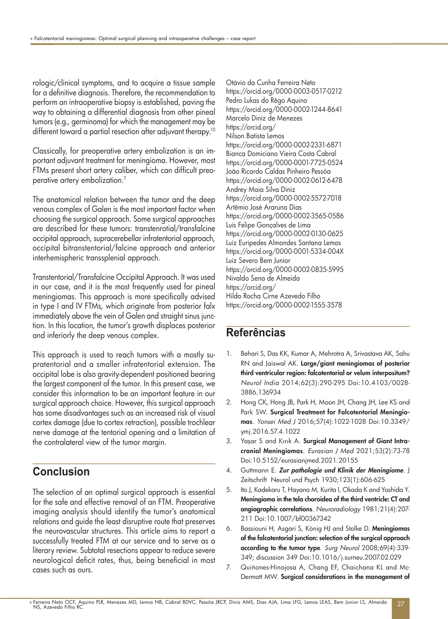rologic/clinical symptoms, and to acquire a tissue sample for a definitive diagnosis. Therefore, the recommendation to perform an intraoperative biopsy is established, paving the way to obtaining a differential diagnosis from other pineal tumors (e.g., germinoma) for which the management may be different toward a partial resection after adjuvant therapy.<sup>10</sup>

Classically, for preoperative artery embolization is an important adjuvant treatment for meningioma. However, most FTMs present short artery caliber, which can difficult preoperative artery embolization.[7](#page-4-4)

The anatomical relation between the tumor and the deep venous complex of Galen is the most important factor when choosing the surgical approach. Some surgical approaches are described for these tumors: transtenrotial/transfalcine occipital approach, supracerebellar infratentorial approach, occipital bitranstentorial/falcine approach and anterior interhemispheric transsplenial approach.

Transtentorial/Transfalcine Occipital Approach. It was used in our case, and it is the most frequently used for pineal meningiomas. This approach is more specifically advised in type I and IV FTMs, which originate from posterior falx immediately above the vein of Galen and straight sinus junction. In this location, the tumor's growth displaces posterior and inferiorly the deep venous complex.

This approach is used to reach tumors with a mostly supratentorial and a smaller infratentorial extension. The occipital lobe is also gravity-dependent positioned bearing the largest component of the tumor. In this present case, we consider this information to be an important feature in our surgical approach choice. However, this surgical approach has some disadvantages such as an increased risk of visual cortex damage (due to cortex retraction), possible trochlear nerve damage at the tentorial opening and a limitation of the contralateral view of the tumor margin.

## **Conclusion**

The selection of an optimal surgical approach is essential for the safe and effective removal of an FTM. Preoperative imaging analysis should identify the tumor's anatomical relations and guide the least disruptive route that preserves the neurovascular structures. This article aims to report a successfully treated FTM at our service and to serve as a literary review. Subtotal resections appear to reduce severe neurological deficit rates, thus, being beneficial in most cases such as ours.

Otávio da Cunha Ferreira Neto https://orcid.org/0000-0003-0517-0212 Pedro Lukas do Rêgo Aquino https://orcid.org/0000-0002-1244-8641 Marcelo Diniz de Menezes https://orcid.org/ Nilson Batista Lemos https://orcid.org/0000-0002-2331-6871 Bianca Domiciano Vieira Costa Cabral https://orcid.org/0000-0001-7725-0524 João Ricardo Caldas Pinheiro Pessôa https://orcid.org/0000-0002-0612-6478 Andrey Maia Silva Diniz https://orcid.org/0000-0002-5572-7018 Artêmio José Araruna Dias https://orcid.org/0000-0002-3565-0586 Luís Felipe Gonçalves de Lima https://orcid.org/0000-0002-0130-0625 Luiz Euripedes Almondes Santana Lemos https://orcid.org/0000-0001-5334-004X Luiz Severo Bem Junior https://orcid.org/0000-0002-0835-5995 Nivaldo Sena de Almeida https://orcid.org/ Hildo Rocha Cirne Azevedo Filho https://orcid.org/0000-0002-1555-3578

### **Referências**

- <span id="page-4-0"></span>1. Behari S, Das KK, Kumar A, Mehrotra A, Srivastava AK, Sahu RN and Jaiswal AK. Large/giant meningiomas of posterior third ventricular region: falcotentorial or velum interpositum? Neurol India 2014;62(3):290-295 Doi[:10.4103/0028-](https://www.doi.org/10.4103/0028-3886.136934) [3886.136934](https://www.doi.org/10.4103/0028-3886.136934)
- <span id="page-4-5"></span>2. Hong CK, Hong JB, Park H, Moon JH, Chang JH, Lee KS and Park SW. Surgical Treatment for Falcotentorial Meningiomas. Yonsei Med J 2016;57(4):1022-1028 Doi:[10.3349/](https://www.doi.org/10.3349/ymj.2016.57.4.1022) [ymj.2016.57.4.1022](https://www.doi.org/10.3349/ymj.2016.57.4.1022)
- <span id="page-4-1"></span>3. Yaşar S and Kırık A. Surgical Management of Giant Intracranial Meningiomas. Eurasian J Med 2021;53(2):73-78 Doi:[10.5152/eurasianjmed.2021.20155](https://www.doi.org/10.5152/eurasianjmed.2021.20155)
- <span id="page-4-2"></span>4. Guttmann E. Zur pathologie und Klinik der Meningiome. J Zeitschrift Neurol und Psych 1930;123(1):606-625
- 5. Ito J, Kadekaru T, Hayano M, Kurita I, Okada K and Yoshida Y. Meningioma in the tela choroidea of the third ventricle: CT and angiographic correlations. Neuroradiology 1981;21(4):207- 211 Doi:[10.1007/bf00367342](https://www.doi.org/10.1007/bf00367342)
- <span id="page-4-3"></span>6. Bassiouni H, Asgari S, König HJ and Stolke D. Meningiomas of the falcotentorial junction: selection of the surgical approach according to the tumor type. Surg Neurol 2008;69(4):339-349; discussion 349 Doi[:10.1016/j.surneu.2007.02.029](https://www.doi.org/10.1016/j.surneu.2007.02.029)
- <span id="page-4-4"></span>7. Quiñones-Hinojosa A, Chang EF, Chaichana KL and Mc-Dermott MW. Surgical considerations in the management of